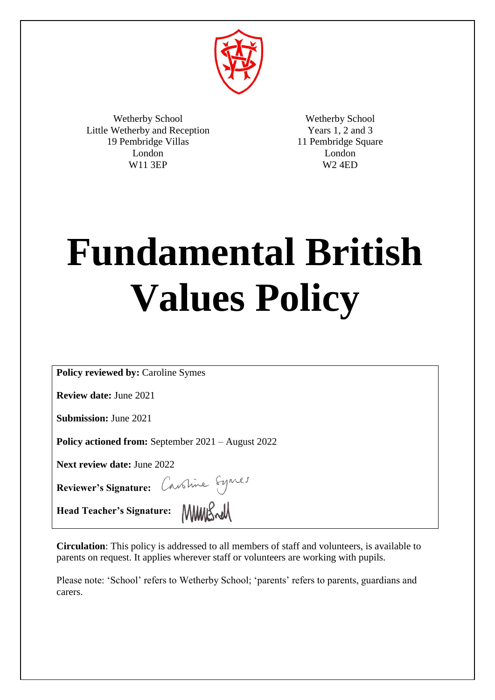

Wetherby School Little Wetherby and Reception 19 Pembridge Villas London W11 3EP

Wetherby School Years 1, 2 and 3 11 Pembridge Square London W2 4ED

# **Fundamental British Values Policy**

**Policy reviewed by:** Caroline Symes

**Review date:** June 2021

**Submission:** June 2021

**Policy actioned from:** September 2021 – August 2022

**Next review date:** June 2022

**Reviewer's Signature:** 

Head Teacher's Signature: **MMLSwll** 

**Circulation**: This policy is addressed to all members of staff and volunteers, is available to parents on request. It applies wherever staff or volunteers are working with pupils.

Please note: 'School' refers to Wetherby School; 'parents' refers to parents, guardians and carers.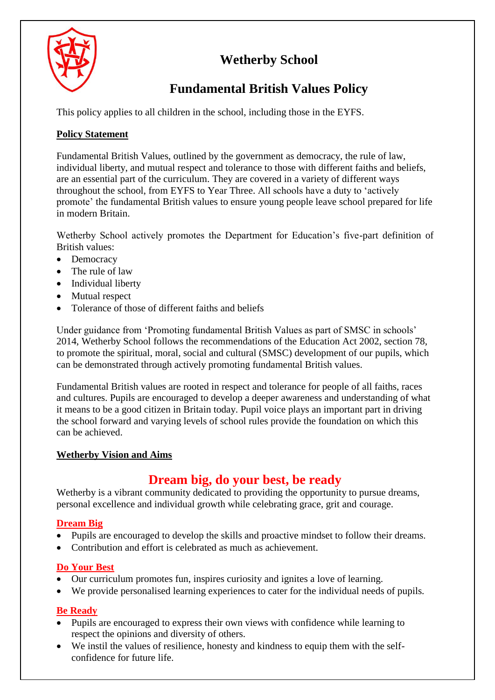# **Wetherby School**



# **Fundamental British Values Policy**

This policy applies to all children in the school, including those in the EYFS.

# **Policy Statement**

Fundamental British Values, outlined by the government as democracy, the rule of law, individual liberty, and mutual respect and tolerance to those with different faiths and beliefs, are an essential part of the curriculum. They are covered in a variety of different ways throughout the school, from EYFS to Year Three. All schools have a duty to 'actively promote' the fundamental British values to ensure young people leave school prepared for life in modern Britain.

Wetherby School actively promotes the Department for Education's five-part definition of British values:

- Democracy
- The rule of law
- Individual liberty
- Mutual respect
- Tolerance of those of different faiths and beliefs

Under guidance from 'Promoting fundamental British Values as part of SMSC in schools' 2014, Wetherby School follows the recommendations of the Education Act 2002, section 78, to promote the spiritual, moral, social and cultural (SMSC) development of our pupils, which can be demonstrated through actively promoting fundamental British values.

Fundamental British values are rooted in respect and tolerance for people of all faiths, races and cultures. Pupils are encouraged to develop a deeper awareness and understanding of what it means to be a good citizen in Britain today. Pupil voice plays an important part in driving the school forward and varying levels of school rules provide the foundation on which this can be achieved.

## **Wetherby Vision and Aims**

# **Dream big, do your best, be ready**

Wetherby is a vibrant community dedicated to providing the opportunity to pursue dreams, personal excellence and individual growth while celebrating grace, grit and courage.

# **Dream Big**

- Pupils are encouraged to develop the skills and proactive mindset to follow their dreams.
- Contribution and effort is celebrated as much as achievement.

# **Do Your Best**

- Our curriculum promotes fun, inspires curiosity and ignites a love of learning.
- We provide personalised learning experiences to cater for the individual needs of pupils.

# **Be Ready**

- Pupils are encouraged to express their own views with confidence while learning to respect the opinions and diversity of others.
- We instil the values of resilience, honesty and kindness to equip them with the selfconfidence for future life.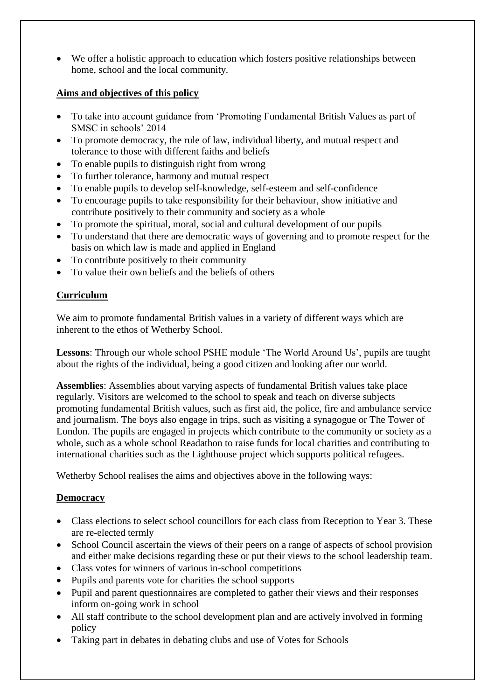We offer a holistic approach to education which fosters positive relationships between home, school and the local community.

#### **Aims and objectives of this policy**

- To take into account guidance from 'Promoting Fundamental British Values as part of SMSC in schools' 2014
- To promote democracy, the rule of law, individual liberty, and mutual respect and tolerance to those with different faiths and beliefs
- To enable pupils to distinguish right from wrong
- To further tolerance, harmony and mutual respect
- To enable pupils to develop self-knowledge, self-esteem and self-confidence
- To encourage pupils to take responsibility for their behaviour, show initiative and contribute positively to their community and society as a whole
- To promote the spiritual, moral, social and cultural development of our pupils
- To understand that there are democratic ways of governing and to promote respect for the basis on which law is made and applied in England
- To contribute positively to their community
- To value their own beliefs and the beliefs of others

## **Curriculum**

We aim to promote fundamental British values in a variety of different ways which are inherent to the ethos of Wetherby School.

**Lessons**: Through our whole school PSHE module 'The World Around Us', pupils are taught about the rights of the individual, being a good citizen and looking after our world.

**Assemblies**: Assemblies about varying aspects of fundamental British values take place regularly. Visitors are welcomed to the school to speak and teach on diverse subjects promoting fundamental British values, such as first aid, the police, fire and ambulance service and journalism. The boys also engage in trips, such as visiting a synagogue or The Tower of London. The pupils are engaged in projects which contribute to the community or society as a whole, such as a whole school Readathon to raise funds for local charities and contributing to international charities such as the Lighthouse project which supports political refugees.

Wetherby School realises the aims and objectives above in the following ways:

### **Democracy**

- Class elections to select school councillors for each class from Reception to Year 3. These are re-elected termly
- School Council ascertain the views of their peers on a range of aspects of school provision and either make decisions regarding these or put their views to the school leadership team.
- Class votes for winners of various in-school competitions
- Pupils and parents vote for charities the school supports
- Pupil and parent questionnaires are completed to gather their views and their responses inform on-going work in school
- All staff contribute to the school development plan and are actively involved in forming policy
- Taking part in debates in debating clubs and use of Votes for Schools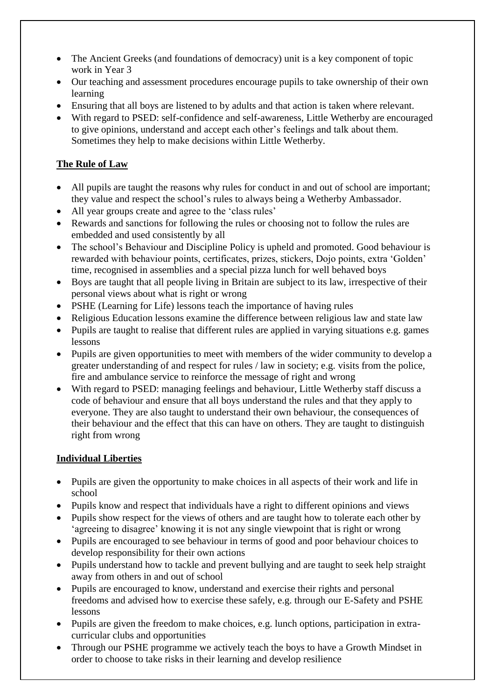- The Ancient Greeks (and foundations of democracy) unit is a key component of topic work in Year 3
- Our teaching and assessment procedures encourage pupils to take ownership of their own learning
- Ensuring that all boys are listened to by adults and that action is taken where relevant.
- With regard to PSED: self-confidence and self-awareness, Little Wetherby are encouraged to give opinions, understand and accept each other's feelings and talk about them. Sometimes they help to make decisions within Little Wetherby.

# **The Rule of Law**

- All pupils are taught the reasons why rules for conduct in and out of school are important; they value and respect the school's rules to always being a Wetherby Ambassador.
- All year groups create and agree to the 'class rules'
- Rewards and sanctions for following the rules or choosing not to follow the rules are embedded and used consistently by all
- The school's Behaviour and Discipline Policy is upheld and promoted. Good behaviour is rewarded with behaviour points, certificates, prizes, stickers, Dojo points, extra 'Golden' time, recognised in assemblies and a special pizza lunch for well behaved boys
- Boys are taught that all people living in Britain are subject to its law, irrespective of their personal views about what is right or wrong
- PSHE (Learning for Life) lessons teach the importance of having rules
- Religious Education lessons examine the difference between religious law and state law
- Pupils are taught to realise that different rules are applied in varying situations e.g. games lessons
- Pupils are given opportunities to meet with members of the wider community to develop a greater understanding of and respect for rules / law in society; e.g. visits from the police, fire and ambulance service to reinforce the message of right and wrong
- With regard to PSED: managing feelings and behaviour, Little Wetherby staff discuss a code of behaviour and ensure that all boys understand the rules and that they apply to everyone. They are also taught to understand their own behaviour, the consequences of their behaviour and the effect that this can have on others. They are taught to distinguish right from wrong

## **Individual Liberties**

- Pupils are given the opportunity to make choices in all aspects of their work and life in school
- Pupils know and respect that individuals have a right to different opinions and views
- Pupils show respect for the views of others and are taught how to tolerate each other by 'agreeing to disagree' knowing it is not any single viewpoint that is right or wrong
- Pupils are encouraged to see behaviour in terms of good and poor behaviour choices to develop responsibility for their own actions
- Pupils understand how to tackle and prevent bullying and are taught to seek help straight away from others in and out of school
- Pupils are encouraged to know, understand and exercise their rights and personal freedoms and advised how to exercise these safely, e.g. through our E-Safety and PSHE lessons
- Pupils are given the freedom to make choices, e.g. lunch options, participation in extracurricular clubs and opportunities
- Through our PSHE programme we actively teach the boys to have a Growth Mindset in order to choose to take risks in their learning and develop resilience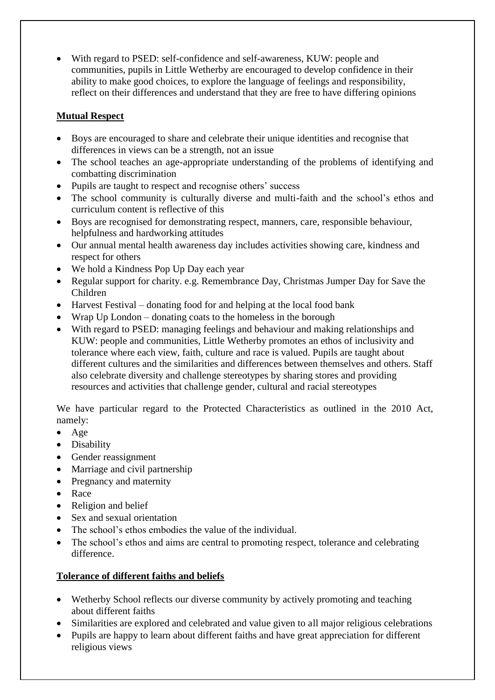With regard to PSED: self-confidence and self-awareness, KUW: people and communities, pupils in Little Wetherby are encouraged to develop confidence in their ability to make good choices, to explore the language of feelings and responsibility, reflect on their differences and understand that they are free to have differing opinions

# **Mutual Respect**

- Boys are encouraged to share and celebrate their unique identities and recognise that differences in views can be a strength, not an issue
- The school teaches an age-appropriate understanding of the problems of identifying and combatting discrimination
- Pupils are taught to respect and recognise others' success
- The school community is culturally diverse and multi-faith and the school's ethos and curriculum content is reflective of this
- Boys are recognised for demonstrating respect, manners, care, responsible behaviour, helpfulness and hardworking attitudes
- Our annual mental health awareness day includes activities showing care, kindness and respect for others
- We hold a Kindness Pop Up Day each year
- Regular support for charity. e.g. Remembrance Day, Christmas Jumper Day for Save the Children
- Harvest Festival donating food for and helping at the local food bank
- Wrap Up London donating coats to the homeless in the borough
- With regard to PSED: managing feelings and behaviour and making relationships and KUW: people and communities, Little Wetherby promotes an ethos of inclusivity and tolerance where each view, faith, culture and race is valued. Pupils are taught about different cultures and the similarities and differences between themselves and others. Staff also celebrate diversity and challenge stereotypes by sharing stores and providing resources and activities that challenge gender, cultural and racial stereotypes

We have particular regard to the Protected Characteristics as outlined in the 2010 Act, namely:

- Age
- Disability
- Gender reassignment
- Marriage and civil partnership
- Pregnancy and maternity
- Race
- Religion and belief
- Sex and sexual orientation
- The school's ethos embodies the value of the individual.
- The school's ethos and aims are central to promoting respect, tolerance and celebrating difference.

# **Tolerance of different faiths and beliefs**

- Wetherby School reflects our diverse community by actively promoting and teaching about different faiths
- Similarities are explored and celebrated and value given to all major religious celebrations
- Pupils are happy to learn about different faiths and have great appreciation for different religious views